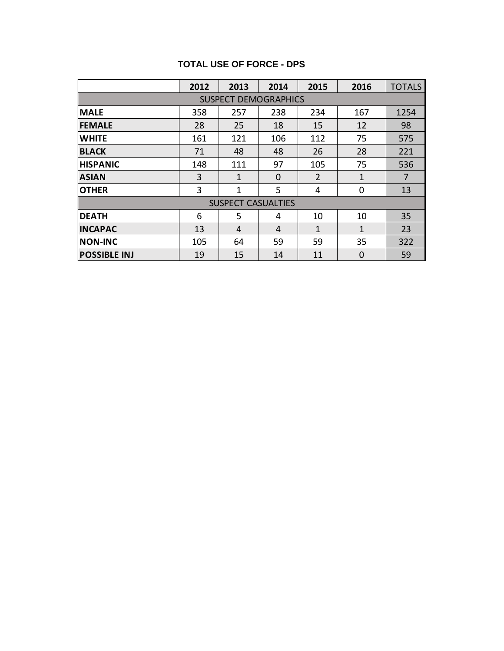#### **TOTAL USE OF FORCE - DPS**

|                             | 2012 | 2013 | 2014     | 2015         | 2016        | <b>TOTALS</b> |
|-----------------------------|------|------|----------|--------------|-------------|---------------|
| <b>SUSPECT DEMOGRAPHICS</b> |      |      |          |              |             |               |
| <b>MALE</b>                 | 358  | 257  | 238      | 234          | 167         | 1254          |
| <b>FEMALE</b>               | 28   | 25   | 18       | 15           | 12          | 98            |
| <b>WHITE</b>                | 161  | 121  | 106      | 112          | 75          | 575           |
| <b>BLACK</b>                | 71   | 48   | 48       | 26           | 28          | 221           |
| <b>HISPANIC</b>             | 148  | 111  | 97       | 105          | 75          | 536           |
| <b>ASIAN</b>                | 3    | 1    | $\Omega$ | 2            | 1           | 7             |
| <b>OTHER</b>                | 3    | 1    | 5        | 4            | 0           | 13            |
| <b>SUSPECT CASUALTIES</b>   |      |      |          |              |             |               |
| <b>DEATH</b>                | 6    | 5    | 4        | 10           | 10          | 35            |
| <b>INCAPAC</b>              | 13   | 4    | 4        | $\mathbf{1}$ | 1           | 23            |
| <b>NON-INC</b>              | 105  | 64   | 59       | 59           | 35          | 322           |
| <b>POSSIBLE INJ</b>         | 19   | 15   | 14       | 11           | $\mathbf 0$ | 59            |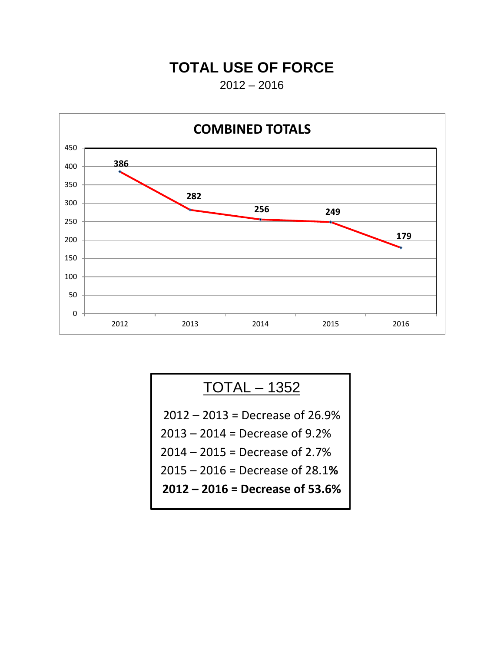### **TOTAL USE OF FORCE**

 $2012 - 2016$ 



# TOTAL – 1352

– 2013 = Decrease of 26.9% – 2014 = Decrease of 9.2% – 2015 = Decrease of 2.7% – 2016 = Decrease of 28.1**% – 2016 = Decrease of 53.6%**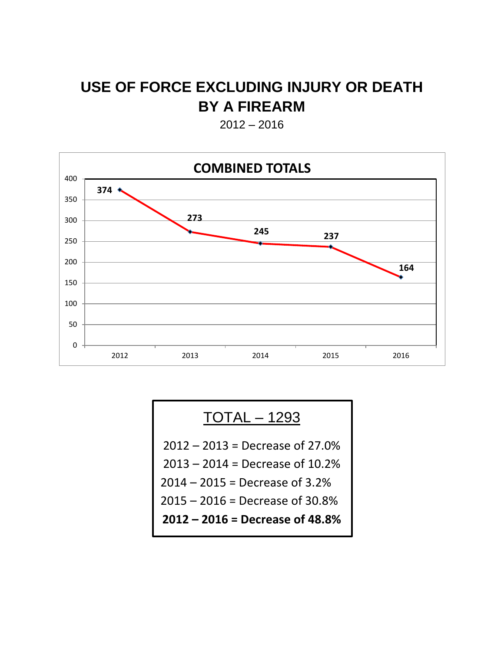# **USE OF FORCE EXCLUDING INJURY OR DEATH BY A FIREARM**

2012 – 2016



### TOTAL – 1293

– 2013 = Decrease of 27.0%

- 2014 = Decrease of 10.2%
- 2015 = Decrease of 3.2%
- 2016 = Decrease of 30.8%

**– 2016 = Decrease of 48.8%**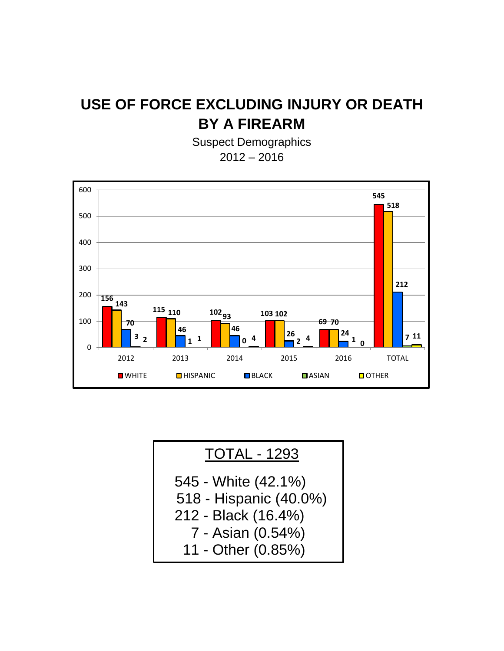# **USE OF FORCE EXCLUDING INJURY OR DEATH BY A FIREARM**

Suspect Demographics 2012 – 2016